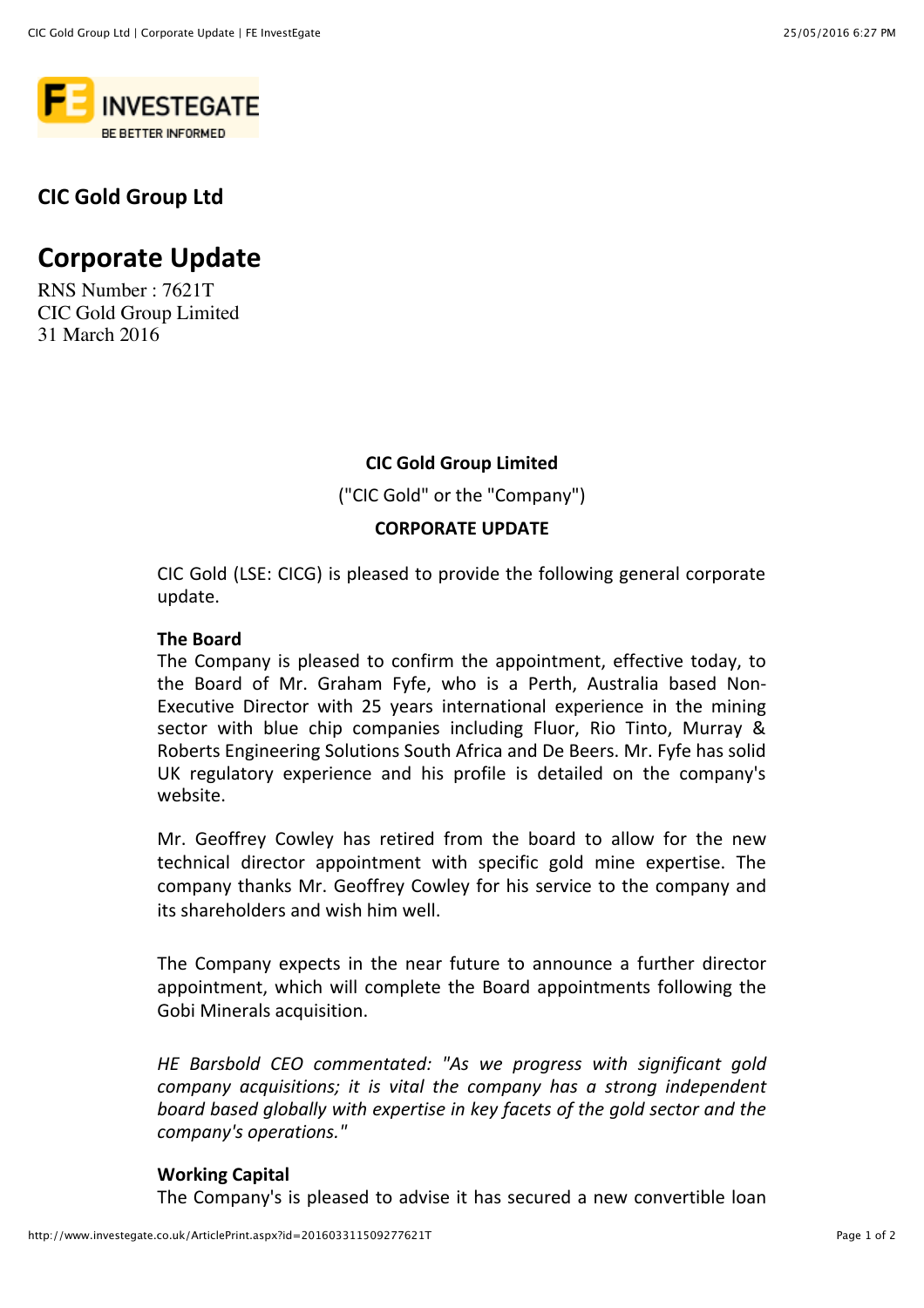

## **CIC Gold Group Ltd**

# **Corporate Update**

RNS Number : 7621T CIC Gold Group Limited 31 March 2016

### **CIC Gold Group Limited**

("CIC Gold" or the "Company")

### **CORPORATE UPDATE**

CIC Gold (LSE: CICG) is pleased to provide the following general corporate update.

#### **The Board**

The Company is pleased to confirm the appointment, effective today, to the Board of Mr. Graham Fyfe, who is a Perth, Australia based Non-Executive Director with 25 years international experience in the mining sector with blue chip companies including Fluor, Rio Tinto, Murray & Roberts Engineering Solutions South Africa and De Beers. Mr. Fyfe has solid UK regulatory experience and his profile is detailed on the company's website.

Mr. Geoffrey Cowley has retired from the board to allow for the new technical director appointment with specific gold mine expertise. The company thanks Mr. Geoffrey Cowley for his service to the company and its shareholders and wish him well.

The Company expects in the near future to announce a further director appointment, which will complete the Board appointments following the Gobi Minerals acquisition.

*HE Barsbold CEO commentated: "As we progress with significant gold company acquisitions; it is vital the company has a strong independent* board based globally with expertise in key facets of the gold sector and the *company's operations."* 

#### **Working Capital**

The Company's is pleased to advise it has secured a new convertible loan